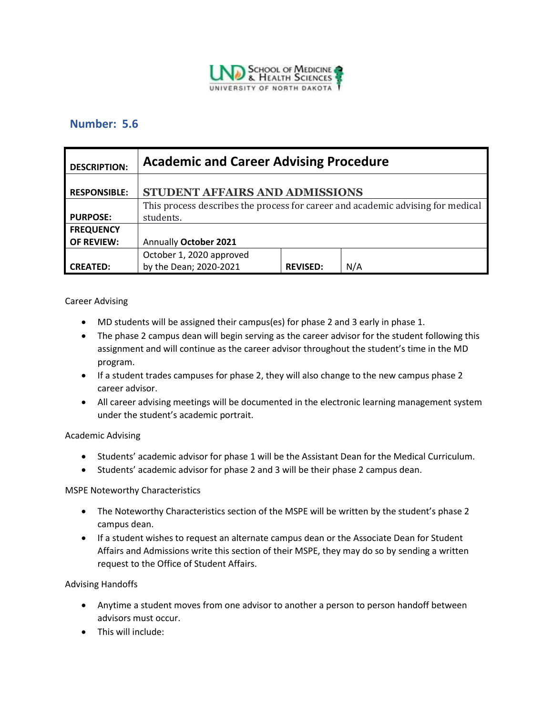

# **Number: 5.6**

| <b>DESCRIPTION:</b> | <b>Academic and Career Advising Procedure</b>                                   |                 |     |
|---------------------|---------------------------------------------------------------------------------|-----------------|-----|
| <b>RESPONSIBLE:</b> | STUDENT AFFAIRS AND ADMISSIONS                                                  |                 |     |
|                     | This process describes the process for career and academic advising for medical |                 |     |
| <b>PURPOSE:</b>     | students.                                                                       |                 |     |
| <b>FREQUENCY</b>    |                                                                                 |                 |     |
| <b>OF REVIEW:</b>   | Annually October 2021                                                           |                 |     |
|                     | October 1, 2020 approved                                                        |                 |     |
| <b>CREATED:</b>     | by the Dean; 2020-2021                                                          | <b>REVISED:</b> | N/A |

## Career Advising

- MD students will be assigned their campus(es) for phase 2 and 3 early in phase 1.
- The phase 2 campus dean will begin serving as the career advisor for the student following this assignment and will continue as the career advisor throughout the student's time in the MD program.
- If a student trades campuses for phase 2, they will also change to the new campus phase 2 career advisor.
- All career advising meetings will be documented in the electronic learning management system under the student's academic portrait.

## Academic Advising

- Students' academic advisor for phase 1 will be the Assistant Dean for the Medical Curriculum.
- Students' academic advisor for phase 2 and 3 will be their phase 2 campus dean.

## MSPE Noteworthy Characteristics

- The Noteworthy Characteristics section of the MSPE will be written by the student's phase 2 campus dean.
- If a student wishes to request an alternate campus dean or the Associate Dean for Student Affairs and Admissions write this section of their MSPE, they may do so by sending a written request to the Office of Student Affairs.

## Advising Handoffs

- Anytime a student moves from one advisor to another a person to person handoff between advisors must occur.
- This will include: